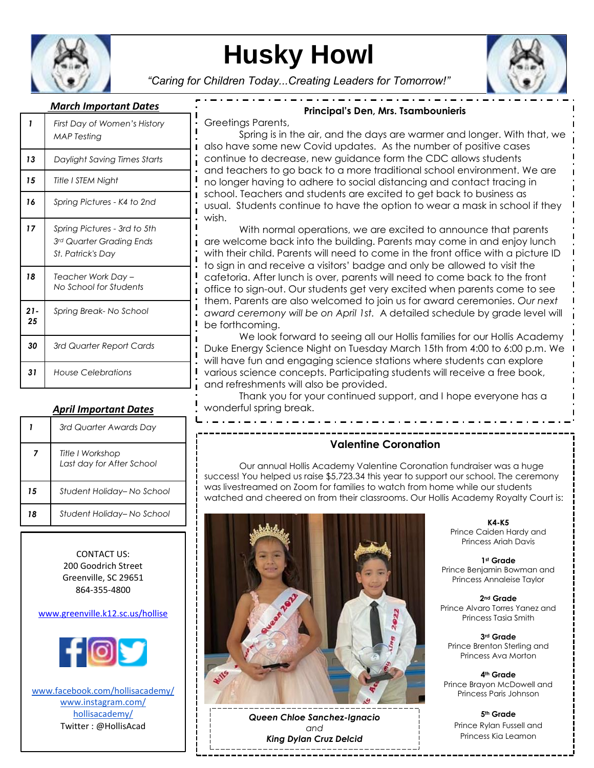

# **Husky Howl**

*"Caring for Children Today...Creating Leaders for Tomorrow!"*



## *March Important Dates*

| 1           | First Day of Women's History<br><b>MAP</b> Testing                                          |
|-------------|---------------------------------------------------------------------------------------------|
| 13          | Daylight Saving Times Starts                                                                |
| 15          | Title I STEM Night                                                                          |
| 16          | Spring Pictures - K4 to 2nd                                                                 |
| 17          | Spring Pictures - 3rd to 5th<br>3rd Quarter Grading Ends<br><i><b>St. Patrick's Day</b></i> |
| 18          | Teacher Work Day -<br>No School for Students                                                |
| $21-$<br>25 | Spring Break-No School                                                                      |
| 30          | 3rd Quarter Report Cards                                                                    |
| 31          | House Celebrations                                                                          |

## *April Important Dates*

|    | 3rd Quarter Awards Day                        |
|----|-----------------------------------------------|
| 7  | Title I Workshop<br>Last day for After School |
| 15 | Student Holiday-No School                     |
| 18 | Student Holiday– No School                    |

CONTACT US: 200 Goodrich Street Greenville, SC 29651 864-355-4800

#### [www.greenville.k12.sc.us/hollise](http://www.greenville.k12.sc.us/hollise)



www.facebook.com/hollisacademy/ www.instagram.com/ hollisacademy/ Twitter : @HollisAcad

Greetings Parents,

Spring is in the air, and the days are warmer and longer. With that, we also have some new Covid updates. As the number of positive cases continue to decrease, new guidance form the CDC allows students and teachers to go back to a more traditional school environment. We are no longer having to adhere to social distancing and contact tracing in school. Teachers and students are excited to get back to business as usual. Students continue to have the option to wear a mask in school if they wish.

**Principal's Den, Mrs. Tsambounieris**

 $\cdot$   $\cdot$   $\cdot$   $-$ 

With normal operations, we are excited to announce that parents are welcome back into the building. Parents may come in and enjoy lunch with their child. Parents will need to come in the front office with a picture ID to sign in and receive a visitors' badge and only be allowed to visit the cafetoria. After lunch is over, parents will need to come back to the front office to sign-out. Our students get very excited when parents come to see them. Parents are also welcomed to join us for award ceremonies. *Our next award ceremony will be on April 1st.* A detailed schedule by grade level will be forthcoming.

We look forward to seeing all our Hollis families for our Hollis Academy Duke Energy Science Night on Tuesday March 15th from 4:00 to 6:00 p.m. We will have fun and engaging science stations where students can explore various science concepts. Participating students will receive a free book, and refreshments will also be provided.

Thank you for your continued support, and I hope everyone has a wonderful spring break.

## **Valentine Coronation**

Our annual Hollis Academy Valentine Coronation fundraiser was a huge success! You helped us raise \$5,723.34 this year to support our school. The ceremony was livestreamed on Zoom for families to watch from home while our students watched and cheered on from their classrooms. Our Hollis Academy Royalty Court is:



*Queen Chloe Sanchez-Ignacio and King Dylan Cruz Delcid*

**K4-K5** Prince Caiden Hardy and Princess Ariah Davis

**1st Grade** Prince Benjamin Bowman and Princess Annaleise Taylor

**2nd Grade** Prince Alvaro Torres Yanez and Princess Tasia Smith

**3rd Grade** Prince Brenton Sterling and Princess Ava Morton

**4th Grade** Prince Brayon McDowell and Princess Paris Johnson

**5th Grade** Prince Rylan Fussell and Princess Kia Leamon